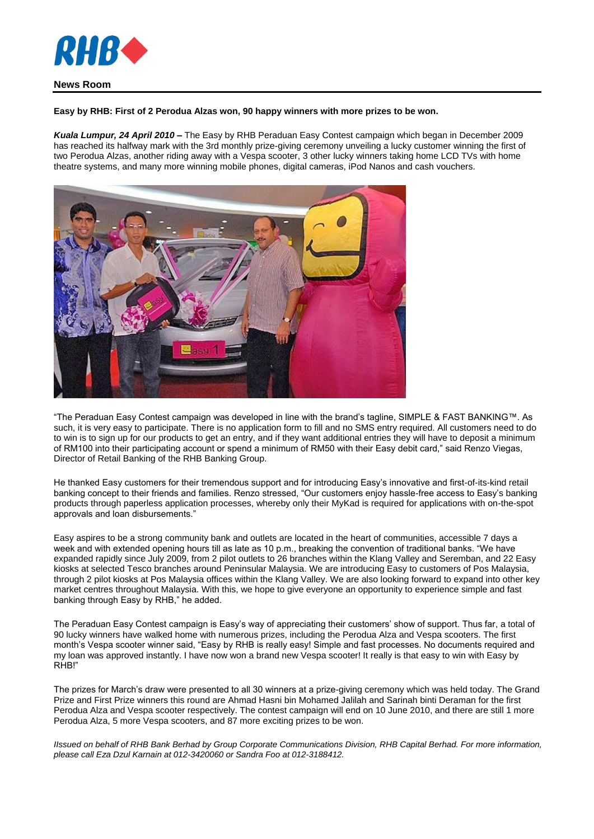

## **Easy by RHB: First of 2 Perodua Alzas won, 90 happy winners with more prizes to be won.**

*Kuala Lumpur, 24 April 2010* **–** The Easy by RHB Peraduan Easy Contest campaign which began in December 2009 has reached its halfway mark with the 3rd monthly prize-giving ceremony unveiling a lucky customer winning the first of two Perodua Alzas, another riding away with a Vespa scooter, 3 other lucky winners taking home LCD TVs with home theatre systems, and many more winning mobile phones, digital cameras, iPod Nanos and cash vouchers.



"The Peraduan Easy Contest campaign was developed in line with the brand's tagline, SIMPLE & FAST BANKING™. As such, it is very easy to participate. There is no application form to fill and no SMS entry required. All customers need to do to win is to sign up for our products to get an entry, and if they want additional entries they will have to deposit a minimum of RM100 into their participating account or spend a minimum of RM50 with their Easy debit card," said Renzo Viegas, Director of Retail Banking of the RHB Banking Group.

He thanked Easy customers for their tremendous support and for introducing Easy's innovative and first-of-its-kind retail banking concept to their friends and families. Renzo stressed, "Our customers enjoy hassle-free access to Easy's banking products through paperless application processes, whereby only their MyKad is required for applications with on-the-spot approvals and loan disbursements."

Easy aspires to be a strong community bank and outlets are located in the heart of communities, accessible 7 days a week and with extended opening hours till as late as 10 p.m., breaking the convention of traditional banks. "We have expanded rapidly since July 2009, from 2 pilot outlets to 26 branches within the Klang Valley and Seremban, and 22 Easy kiosks at selected Tesco branches around Peninsular Malaysia. We are introducing Easy to customers of Pos Malaysia, through 2 pilot kiosks at Pos Malaysia offices within the Klang Valley. We are also looking forward to expand into other key market centres throughout Malaysia. With this, we hope to give everyone an opportunity to experience simple and fast banking through Easy by RHB," he added.

The Peraduan Easy Contest campaign is Easy's way of appreciating their customers' show of support. Thus far, a total of 90 lucky winners have walked home with numerous prizes, including the Perodua Alza and Vespa scooters. The first month's Vespa scooter winner said, "Easy by RHB is really easy! Simple and fast processes. No documents required and my loan was approved instantly. I have now won a brand new Vespa scooter! It really is that easy to win with Easy by RHB!"

The prizes for March's draw were presented to all 30 winners at a prize-giving ceremony which was held today. The Grand Prize and First Prize winners this round are Ahmad Hasni bin Mohamed Jalilah and Sarinah binti Deraman for the first Perodua Alza and Vespa scooter respectively. The contest campaign will end on 10 June 2010, and there are still 1 more Perodua Alza, 5 more Vespa scooters, and 87 more exciting prizes to be won.

*IIssued on behalf of RHB Bank Berhad by Group Corporate Communications Division, RHB Capital Berhad. For more information, please call Eza Dzul Karnain at 012-3420060 or Sandra Foo at 012-3188412.*